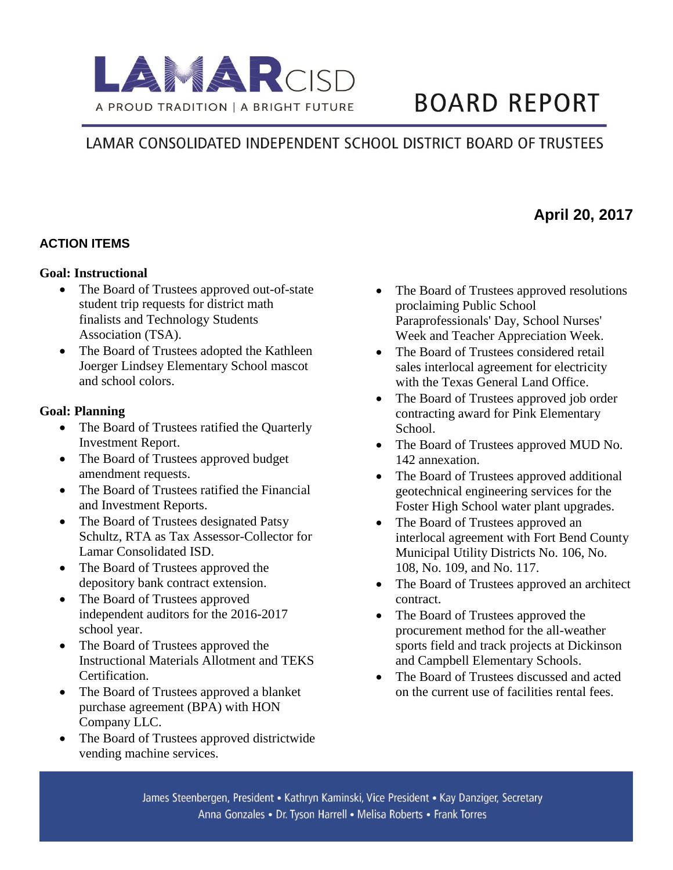

# **BOARD REPORT**

# LAMAR CONSOLIDATED INDEPENDENT SCHOOL DISTRICT BOARD OF TRUSTEES

# **April 20, 2017**

## **ACTION ITEMS**

#### **Goal: Instructional**

- The Board of Trustees approved out-of-state student trip requests for district math finalists and Technology Students Association (TSA).
- The Board of Trustees adopted the Kathleen Joerger Lindsey Elementary School mascot and school colors.

#### **Goal: Planning**

- The Board of Trustees ratified the Quarterly Investment Report.
- The Board of Trustees approved budget amendment requests.
- The Board of Trustees ratified the Financial and Investment Reports.
- The Board of Trustees designated Patsy Schultz, RTA as Tax Assessor-Collector for Lamar Consolidated ISD.
- The Board of Trustees approved the depository bank contract extension.
- The Board of Trustees approved independent auditors for the 2016-2017 school year.
- The Board of Trustees approved the Instructional Materials Allotment and TEKS Certification.
- The Board of Trustees approved a blanket purchase agreement (BPA) with HON Company LLC.
- The Board of Trustees approved districtwide vending machine services.
- The Board of Trustees approved resolutions proclaiming Public School Paraprofessionals' Day, School Nurses' Week and Teacher Appreciation Week.
- The Board of Trustees considered retail sales interlocal agreement for electricity with the Texas General Land Office.
- The Board of Trustees approved job order contracting award for Pink Elementary School.
- The Board of Trustees approved MUD No. 142 annexation.
- The Board of Trustees approved additional geotechnical engineering services for the Foster High School water plant upgrades.
- The Board of Trustees approved an interlocal agreement with Fort Bend County Municipal Utility Districts No. 106, No. 108, No. 109, and No. 117.
- The Board of Trustees approved an architect contract.
- The Board of Trustees approved the procurement method for the all-weather sports field and track projects at Dickinson and Campbell Elementary Schools.
- The Board of Trustees discussed and acted on the current use of facilities rental fees.